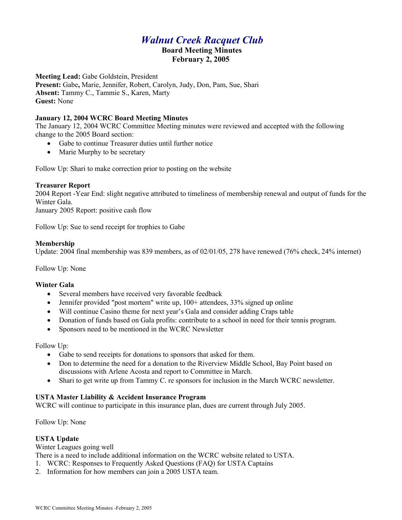# *Walnut Creek Racquet Club*  **Board Meeting Minutes February 2, 2005**

**Meeting Lead:** Gabe Goldstein, President **Present:** Gabe**,** Marie, Jennifer, Robert, Carolyn, Judy, Don, Pam, Sue, Shari **Absent:** Tammy C., Tammie S., Karen, Marty **Guest:** None

#### **January 12, 2004 WCRC Board Meeting Minutes**

The January 12, 2004 WCRC Committee Meeting minutes were reviewed and accepted with the following change to the 2005 Board section:

- Gabe to continue Treasurer duties until further notice
- Marie Murphy to be secretary

Follow Up: Shari to make correction prior to posting on the website

#### **Treasurer Report**

2004 Report -Year End: slight negative attributed to timeliness of membership renewal and output of funds for the Winter Gala.

January 2005 Report: positive cash flow

Follow Up: Sue to send receipt for trophies to Gabe

#### **Membership**

Update: 2004 final membership was 839 members, as of 02/01/05, 278 have renewed (76% check, 24% internet)

Follow Up: None

#### **Winter Gala**

- Several members have received very favorable feedback
- Jennifer provided "post mortem" write up,  $100+$  attendees,  $33\%$  signed up online
- Will continue Casino theme for next year's Gala and consider adding Craps table
- Donation of funds based on Gala profits: contribute to a school in need for their tennis program.
- Sponsors need to be mentioned in the WCRC Newsletter

Follow Up:

- Gabe to send receipts for donations to sponsors that asked for them.
- Don to determine the need for a donation to the Riverview Middle School, Bay Point based on discussions with Arlene Acosta and report to Committee in March.
- Shari to get write up from Tammy C. re sponsors for inclusion in the March WCRC newsletter.

# **USTA Master Liability & Accident Insurance Program**

WCRC will continue to participate in this insurance plan, dues are current through July 2005.

Follow Up: None

# **USTA Update**

Winter Leagues going well

There is a need to include additional information on the WCRC website related to USTA.

- 1. WCRC: Responses to Frequently Asked Questions (FAQ) for USTA Captains
- 2. Information for how members can join a 2005 USTA team.